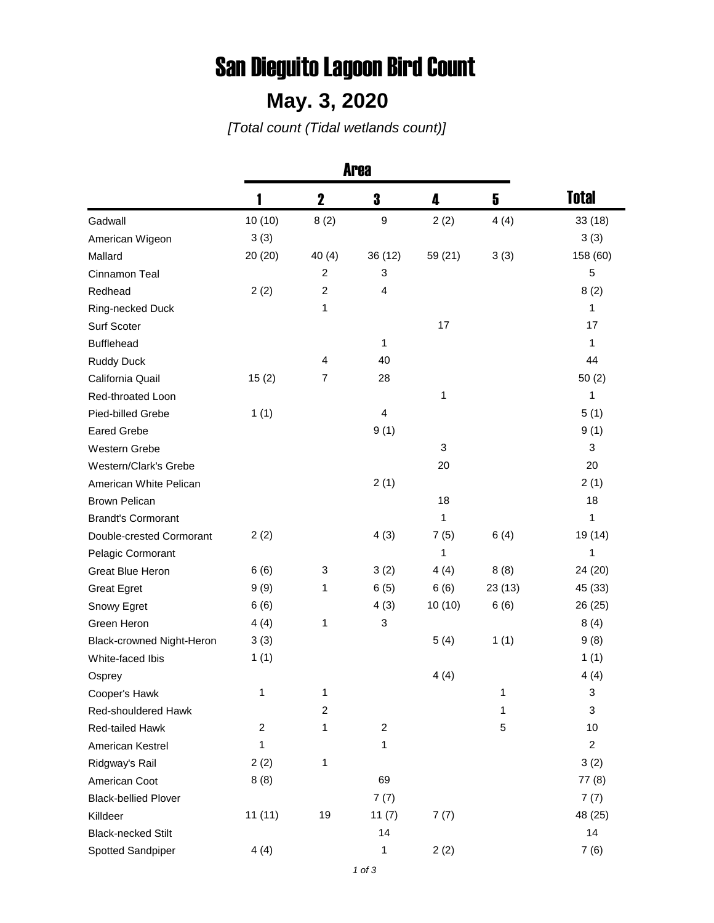## San Dieguito Lagoon Bird Count

## **May. 3, 2020**

*[Total count (Tidal wetlands count)]*

|                             | <b>Area</b>    |                         |                         |         |        |                |
|-----------------------------|----------------|-------------------------|-------------------------|---------|--------|----------------|
|                             |                | $\mathbf 2$             | 3                       | 4       | 5      | <b>Total</b>   |
| Gadwall                     | 10(10)         | 8(2)                    | $\boldsymbol{9}$        | 2(2)    | 4(4)   | 33(18)         |
| American Wigeon             | 3(3)           |                         |                         |         |        | 3(3)           |
| Mallard                     | 20(20)         | 40(4)                   | 36 (12)                 | 59 (21) | 3(3)   | 158 (60)       |
| Cinnamon Teal               |                | $\overline{c}$          | 3                       |         |        | 5              |
| Redhead                     | 2(2)           | $\overline{c}$          | 4                       |         |        | 8(2)           |
| Ring-necked Duck            |                | 1                       |                         |         |        | 1              |
| Surf Scoter                 |                |                         |                         | 17      |        | 17             |
| <b>Bufflehead</b>           |                |                         | 1                       |         |        | 1              |
| <b>Ruddy Duck</b>           |                | 4                       | 40                      |         |        | 44             |
| California Quail            | 15(2)          | 7                       | 28                      |         |        | 50(2)          |
| Red-throated Loon           |                |                         |                         | 1       |        | 1              |
| Pied-billed Grebe           | 1(1)           |                         | $\overline{\mathbf{4}}$ |         |        | 5(1)           |
| <b>Eared Grebe</b>          |                |                         | 9(1)                    |         |        | 9(1)           |
| Western Grebe               |                |                         |                         | 3       |        | 3              |
| Western/Clark's Grebe       |                |                         |                         | 20      |        | 20             |
| American White Pelican      |                |                         | 2(1)                    |         |        | 2(1)           |
| <b>Brown Pelican</b>        |                |                         |                         | 18      |        | 18             |
| <b>Brandt's Cormorant</b>   |                |                         |                         | 1       |        | 1              |
| Double-crested Cormorant    | 2(2)           |                         | 4(3)                    | 7(5)    | 6(4)   | 19 (14)        |
| Pelagic Cormorant           |                |                         |                         | 1       |        | 1              |
| Great Blue Heron            | 6(6)           | 3                       | 3(2)                    | 4(4)    | 8(8)   | 24 (20)        |
| <b>Great Egret</b>          | 9(9)           | 1                       | 6(5)                    | 6(6)    | 23(13) | 45 (33)        |
| Snowy Egret                 | 6(6)           |                         | 4(3)                    | 10(10)  | 6(6)   | 26 (25)        |
| Green Heron                 | 4(4)           | 1                       | 3                       |         |        | 8(4)           |
| Black-crowned Night-Heron   | 3(3)           |                         |                         | 5(4)    | 1(1)   | 9(8)           |
| White-faced Ibis            | 1(1)           |                         |                         |         |        | 1(1)           |
| Osprey                      |                |                         |                         | 4(4)    |        | 4(4)           |
| Cooper's Hawk               | 1              | 1                       |                         |         | 1      | 3              |
| Red-shouldered Hawk         |                | $\overline{\mathbf{c}}$ |                         |         | 1      | 3              |
| Red-tailed Hawk             | $\overline{c}$ | 1                       | $\overline{c}$          |         | 5      | 10             |
| American Kestrel            | 1              |                         | 1                       |         |        | $\overline{c}$ |
| Ridgway's Rail              | 2(2)           | 1                       |                         |         |        | 3(2)           |
| American Coot               | 8(8)           |                         | 69                      |         |        | 77(8)          |
| <b>Black-bellied Plover</b> |                |                         | 7(7)                    |         |        | 7(7)           |
| Killdeer                    | 11(11)         | 19                      | 11(7)                   | 7(7)    |        | 48 (25)        |
| <b>Black-necked Stilt</b>   |                |                         | 14                      |         |        | 14             |
| Spotted Sandpiper           | 4(4)           |                         | 1                       | 2(2)    |        | 7(6)           |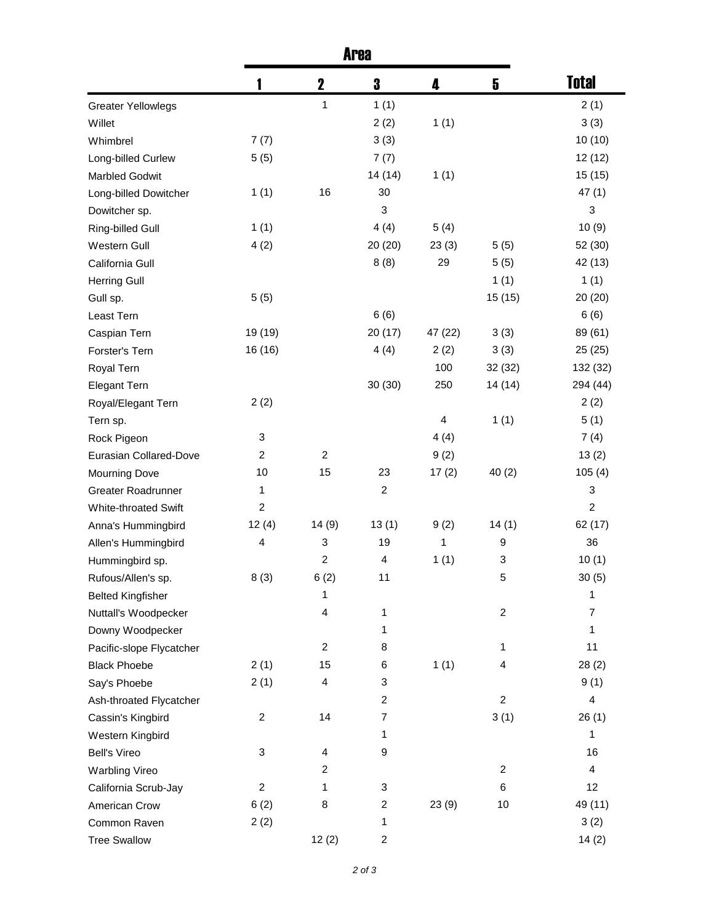|                             | <b>Area</b>             |                |                         |                         |                |                |
|-----------------------------|-------------------------|----------------|-------------------------|-------------------------|----------------|----------------|
|                             |                         | $\mathbf 2$    | 3                       | 4                       | 5              | <b>Total</b>   |
| <b>Greater Yellowlegs</b>   |                         | 1              | 1(1)                    |                         |                | 2(1)           |
| Willet                      |                         |                | 2(2)                    | 1(1)                    |                | 3(3)           |
| Whimbrel                    | 7(7)                    |                | 3(3)                    |                         |                | 10(10)         |
| Long-billed Curlew          | 5(5)                    |                | 7(7)                    |                         |                | 12(12)         |
| <b>Marbled Godwit</b>       |                         |                | 14(14)                  | 1(1)                    |                | 15(15)         |
| Long-billed Dowitcher       | 1(1)                    | 16             | 30                      |                         |                | 47(1)          |
| Dowitcher sp.               |                         |                | 3                       |                         |                | 3              |
| Ring-billed Gull            | 1(1)                    |                | 4(4)                    | 5(4)                    |                | 10(9)          |
| Western Gull                | 4(2)                    |                | 20(20)                  | 23(3)                   | 5(5)           | 52 (30)        |
| California Gull             |                         |                | 8(8)                    | 29                      | 5(5)           | 42 (13)        |
| <b>Herring Gull</b>         |                         |                |                         |                         | 1(1)           | 1(1)           |
| Gull sp.                    | 5(5)                    |                |                         |                         | 15(15)         | 20(20)         |
| Least Tern                  |                         |                | 6(6)                    |                         |                | 6(6)           |
| Caspian Tern                | 19 (19)                 |                | 20 (17)                 | 47 (22)                 | 3(3)           | 89 (61)        |
| Forster's Tern              | 16 (16)                 |                | 4(4)                    | 2(2)                    | 3(3)           | 25(25)         |
| Royal Tern                  |                         |                |                         | 100                     | 32 (32)        | 132 (32)       |
| <b>Elegant Tern</b>         |                         |                | 30(30)                  | 250                     | 14 (14)        | 294 (44)       |
| Royal/Elegant Tern          | 2(2)                    |                |                         |                         |                | 2(2)           |
| Tern sp.                    |                         |                |                         | $\overline{\mathbf{4}}$ | 1(1)           | 5(1)           |
| Rock Pigeon                 | 3                       |                |                         | 4(4)                    |                | 7(4)           |
| Eurasian Collared-Dove      | $\boldsymbol{2}$        | $\overline{c}$ |                         | 9(2)                    |                | 13(2)          |
| <b>Mourning Dove</b>        | 10                      | 15             | 23                      | 17(2)                   | 40(2)          | 105(4)         |
| Greater Roadrunner          | 1                       |                | $\boldsymbol{2}$        |                         |                | 3              |
| <b>White-throated Swift</b> | $\boldsymbol{2}$        |                |                         |                         |                | $\overline{c}$ |
| Anna's Hummingbird          | 12(4)                   | 14(9)          | 13(1)                   | 9(2)                    | 14(1)          | 62 (17)        |
| Allen's Hummingbird         | $\overline{4}$          | 3              | 19                      | 1                       | 9              | 36             |
| Hummingbird sp.             |                         | $\overline{c}$ | $\overline{4}$          | 1(1)                    | 3              | 10(1)          |
| Rufous/Allen's sp.          | 8(3)                    | 6(2)           | 11                      |                         | 5              | 30(5)          |
| <b>Belted Kingfisher</b>    |                         | 1              |                         |                         |                | 1              |
| Nuttall's Woodpecker        |                         | 4              | 1                       |                         | $\overline{c}$ | 7              |
| Downy Woodpecker            |                         |                | 1                       |                         |                | 1              |
| Pacific-slope Flycatcher    |                         | $\overline{c}$ | 8                       |                         | 1              | 11             |
| <b>Black Phoebe</b>         | 2(1)                    | 15             | 6                       | 1(1)                    | 4              | 28(2)          |
| Say's Phoebe                | 2(1)                    | 4              | 3                       |                         |                | 9(1)           |
| Ash-throated Flycatcher     |                         |                | $\overline{\mathbf{c}}$ |                         | $\overline{c}$ | 4              |
| Cassin's Kingbird           | $\overline{\mathbf{c}}$ | 14             | 7                       |                         | 3(1)           | 26(1)          |
| Western Kingbird            |                         |                | 1                       |                         |                | 1              |
| <b>Bell's Vireo</b>         | 3                       | 4              | 9                       |                         |                | 16             |
| <b>Warbling Vireo</b>       |                         | $\overline{c}$ |                         |                         | $\overline{c}$ | 4              |
| California Scrub-Jay        | $\overline{\mathbf{c}}$ | 1              | 3                       |                         | 6              | 12             |
| American Crow               | 6(2)                    | 8              | $\overline{\mathbf{c}}$ | 23(9)                   | 10             | 49 (11)        |
| Common Raven                | 2(2)                    |                | 1                       |                         |                | 3(2)           |
| <b>Tree Swallow</b>         |                         | 12(2)          | $\overline{\mathbf{c}}$ |                         |                | 14(2)          |
|                             |                         |                |                         |                         |                |                |